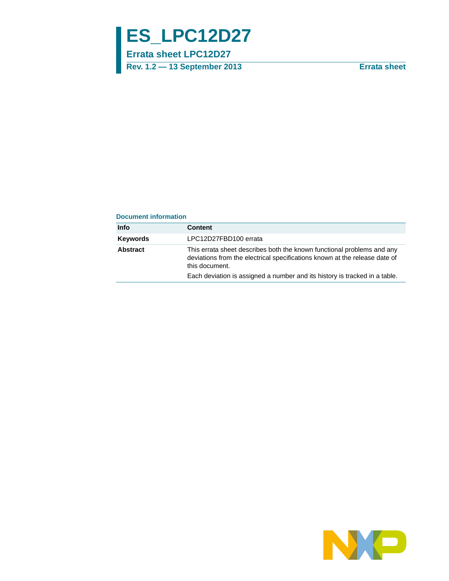# **ES\_LPC12D27**

**Errata sheet LPC12D27**

**Rev. 1.2 — 13 September 2013 Errata sheet**

#### **Document information**

| <b>Info</b>     | Content                                                                                                                                                                |
|-----------------|------------------------------------------------------------------------------------------------------------------------------------------------------------------------|
| <b>Keywords</b> | LPC12D27FBD100 errata                                                                                                                                                  |
| Abstract        | This errata sheet describes both the known functional problems and any<br>deviations from the electrical specifications known at the release date of<br>this document. |
|                 | Each deviation is assigned a number and its history is tracked in a table.                                                                                             |

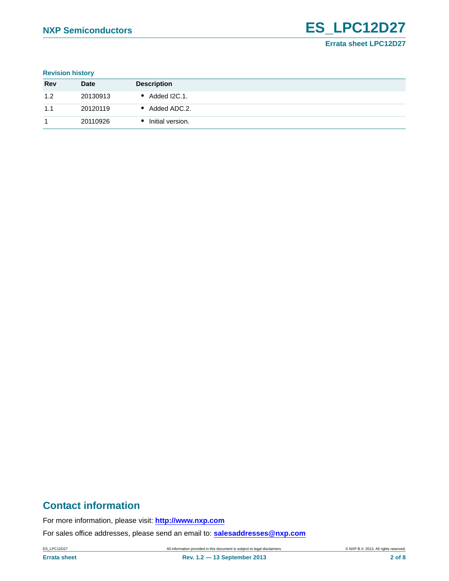**Revision history**

| <b>Rev</b> | <b>Date</b> | <b>Description</b> |
|------------|-------------|--------------------|
| 1.2        | 20130913    | Added I2C.1.       |
| 1.1        | 20120119    | • Added ADC.2.     |
|            | 20110926    | Initial version.   |

# **Contact information**

For more information, please visit: **http://www.nxp.com**

For sales office addresses, please send an email to: **salesaddresses@nxp.com**

ES\_LPC12D27 All information provided in this document is subject to legal disclaimers. © NXP B.V. 2013. All rights reserved.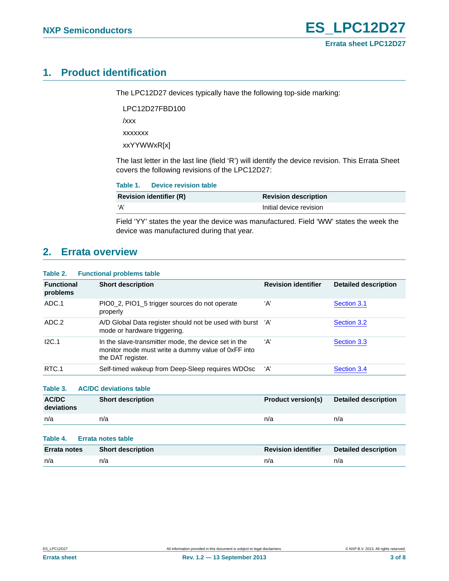# <span id="page-2-0"></span>**1. Product identification**

The LPC12D27 devices typically have the following top-side marking:

LPC12D27FBD100 /xxx xxxxxxx

xxYYWWxR[x]

The last letter in the last line (field 'R') will identify the device revision. This Errata Sheet covers the following revisions of the LPC12D27:

| Table 1. | Device revision table          |                             |  |
|----------|--------------------------------|-----------------------------|--|
|          | <b>Revision identifier (R)</b> | <b>Revision description</b> |  |
| ʻA'      |                                | Initial device revision     |  |
|          |                                |                             |  |

Field 'YY' states the year the device was manufactured. Field 'WW' states the week the device was manufactured during that year.

# <span id="page-2-1"></span>**2. Errata overview**

#### **Table 2. Functional problems table**

| <b>Functional</b><br>problems | <b>Short description</b>                                                                                                        | <b>Revision identifier</b> | <b>Detailed description</b> |
|-------------------------------|---------------------------------------------------------------------------------------------------------------------------------|----------------------------|-----------------------------|
| ADC.1                         | PIO0_2, PIO1_5 trigger sources do not operate<br>properly                                                                       | ʻA'                        | Section 3.1                 |
| ADC.2                         | A/D Global Data register should not be used with burst 'A'<br>mode or hardware triggering.                                      |                            | Section 3.2                 |
| I2C.1                         | In the slave-transmitter mode, the device set in the<br>monitor mode must write a dummy value of 0xFF into<br>the DAT register. | ʻA'                        | Section 3.3                 |
| RTC.1                         | Self-timed wakeup from Deep-Sleep requires WDOsc                                                                                | ʻA'                        | Section 3.4                 |
| Table 3.                      | <b>AC/DC deviations table</b>                                                                                                   |                            |                             |

| <b>AC/DC</b><br>deviations | <b>Short description</b> | <b>Product version(s)</b> | Detailed description |
|----------------------------|--------------------------|---------------------------|----------------------|
| n/a                        | n/a                      | n/a                       | n/a                  |

#### **Table 4. Errata notes table**

| Errata notes | <b>Short description</b> | <b>Revision identifier</b> | <b>Detailed description</b> |
|--------------|--------------------------|----------------------------|-----------------------------|
| n/a          | n/a                      | n/a                        | n/a                         |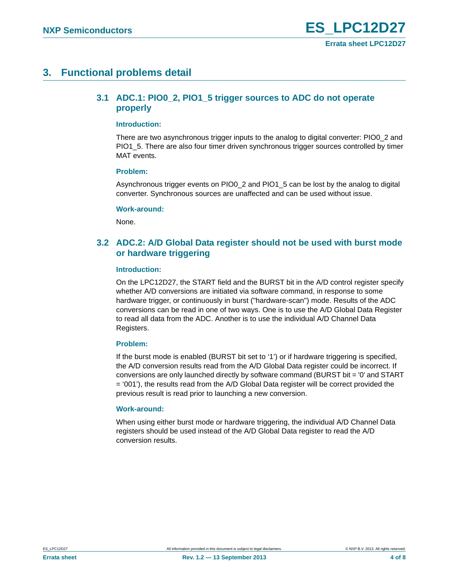# <span id="page-3-2"></span><span id="page-3-0"></span>**3. Functional problems detail**

### **3.1 ADC.1: PIO0\_2, PIO1\_5 trigger sources to ADC do not operate properly**

#### <span id="page-3-3"></span>**Introduction:**

There are two asynchronous trigger inputs to the analog to digital converter: PIO0\_2 and PIO1 5. There are also four timer driven synchronous trigger sources controlled by timer MAT events.

#### <span id="page-3-4"></span>**Problem:**

Asynchronous trigger events on PIO0\_2 and PIO1\_5 can be lost by the analog to digital converter. Synchronous sources are unaffected and can be used without issue.

#### <span id="page-3-5"></span>**Work-around:**

None.

### <span id="page-3-1"></span>**3.2 ADC.2: A/D Global Data register should not be used with burst mode or hardware triggering**

#### <span id="page-3-6"></span>**Introduction:**

On the LPC12D27, the START field and the BURST bit in the A/D control register specify whether A/D conversions are initiated via software command, in response to some hardware trigger, or continuously in burst ("hardware-scan") mode. Results of the ADC conversions can be read in one of two ways. One is to use the A/D Global Data Register to read all data from the ADC. Another is to use the individual A/D Channel Data Registers.

#### <span id="page-3-7"></span>**Problem:**

If the burst mode is enabled (BURST bit set to '1') or if hardware triggering is specified, the A/D conversion results read from the A/D Global Data register could be incorrect. If conversions are only launched directly by software command (BURST bit = '0' and START  $=$  '001'), the results read from the A/D Global Data register will be correct provided the previous result is read prior to launching a new conversion.

#### <span id="page-3-8"></span>**Work-around:**

When using either burst mode or hardware triggering, the individual A/D Channel Data registers should be used instead of the A/D Global Data register to read the A/D conversion results.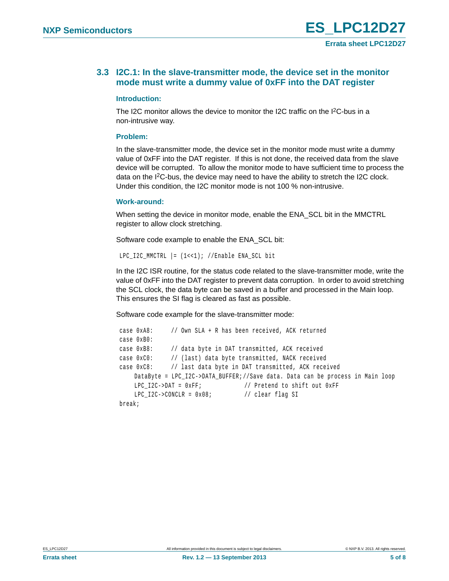### <span id="page-4-0"></span>**3.3 I2C.1: In the slave-transmitter mode, the device set in the monitor mode must write a dummy value of 0xFF into the DAT register**

#### <span id="page-4-1"></span>**Introduction:**

The I2C monitor allows the device to monitor the I2C traffic on the I2C-bus in a non-intrusive way.

#### <span id="page-4-2"></span>**Problem:**

In the slave-transmitter mode, the device set in the monitor mode must write a dummy value of 0xFF into the DAT register. If this is not done, the received data from the slave device will be corrupted. To allow the monitor mode to have sufficient time to process the data on the I<sup>2</sup>C-bus, the device may need to have the ability to stretch the I2C clock. Under this condition, the I2C monitor mode is not 100 % non-intrusive.

#### <span id="page-4-3"></span>**Work-around:**

When setting the device in monitor mode, enable the ENA\_SCL bit in the MMCTRL register to allow clock stretching.

Software code example to enable the ENA\_SCL bit:

```
LPC I2C MMCTRL | = (1 \lt \lt 1); //Enable ENA SCL bit
```
In the I2C ISR routine, for the status code related to the slave-transmitter mode, write the value of 0xFF into the DAT register to prevent data corruption. In order to avoid stretching the SCL clock, the data byte can be saved in a buffer and processed in the Main loop. This ensures the SI flag is cleared as fast as possible.

Software code example for the slave-transmitter mode:

```
 case 0xA8: // Own SLA + R has been received, ACK returned 
case 0xB0:
case 0xB8: // data byte in DAT transmitted, ACK received
case 0xC0: // (last) data byte transmitted, NACK received
case 0xC8: // last data byte in DAT transmitted, ACK received
   DataByte = LPC_I2C->DATA_BUFFER;//Save data. Data can be process in Main loop
   LPC I2C->DAT = 0xFF; // Pretend to shift out 0xFF
   LPC_12C->CONCLR = 0x08; // clear flag SI
break;
```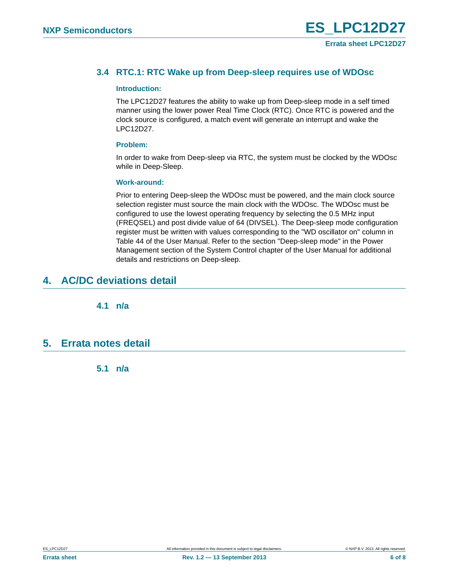### <span id="page-5-0"></span>**3.4 RTC.1: RTC Wake up from Deep-sleep requires use of WDOsc**

#### <span id="page-5-1"></span>**Introduction:**

The LPC12D27 features the ability to wake up from Deep-sleep mode in a self timed manner using the lower power Real Time Clock (RTC). Once RTC is powered and the clock source is configured, a match event will generate an interrupt and wake the LPC12D27.

#### <span id="page-5-2"></span>**Problem:**

In order to wake from Deep-sleep via RTC, the system must be clocked by the WDOsc while in Deep-Sleep.

#### <span id="page-5-3"></span>**Work-around:**

Prior to entering Deep-sleep the WDOsc must be powered, and the main clock source selection register must source the main clock with the WDOsc. The WDOsc must be configured to use the lowest operating frequency by selecting the 0.5 MHz input (FREQSEL) and post divide value of 64 (DIVSEL). The Deep-sleep mode configuration register must be written with values corresponding to the "WD oscillator on" column in Table 44 of the User Manual. Refer to the section "Deep-sleep mode" in the Power Management section of the System Control chapter of the User Manual for additional details and restrictions on Deep-sleep.

# <span id="page-5-5"></span><span id="page-5-4"></span>**4. AC/DC deviations detail**

**4.1 n/a** 

### <span id="page-5-7"></span><span id="page-5-6"></span>**5. Errata notes detail**

**5.1 n/a**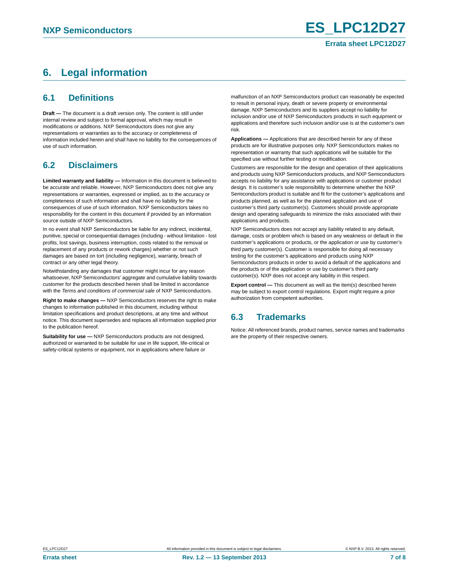# <span id="page-6-0"></span>**6. Legal information**

### <span id="page-6-1"></span>**6.1 Definitions**

**Draft —** The document is a draft version only. The content is still under internal review and subject to formal approval, which may result in modifications or additions. NXP Semiconductors does not give any representations or warranties as to the accuracy or completeness of information included herein and shall have no liability for the consequences of use of such information.

# <span id="page-6-2"></span>**6.2 Disclaimers**

**Limited warranty and liability —** Information in this document is believed to be accurate and reliable. However, NXP Semiconductors does not give any representations or warranties, expressed or implied, as to the accuracy or completeness of such information and shall have no liability for the consequences of use of such information. NXP Semiconductors takes no responsibility for the content in this document if provided by an information source outside of NXP Semiconductors.

In no event shall NXP Semiconductors be liable for any indirect, incidental, punitive, special or consequential damages (including - without limitation - lost profits, lost savings, business interruption, costs related to the removal or replacement of any products or rework charges) whether or not such damages are based on tort (including negligence), warranty, breach of contract or any other legal theory.

Notwithstanding any damages that customer might incur for any reason whatsoever, NXP Semiconductors' aggregate and cumulative liability towards customer for the products described herein shall be limited in accordance with the *Terms and conditions of commercial sale* of NXP Semiconductors.

**Right to make changes —** NXP Semiconductors reserves the right to make changes to information published in this document, including without limitation specifications and product descriptions, at any time and without notice. This document supersedes and replaces all information supplied prior to the publication hereof.

**Suitability for use —** NXP Semiconductors products are not designed, authorized or warranted to be suitable for use in life support, life-critical or safety-critical systems or equipment, nor in applications where failure or

malfunction of an NXP Semiconductors product can reasonably be expected to result in personal injury, death or severe property or environmental damage. NXP Semiconductors and its suppliers accept no liability for inclusion and/or use of NXP Semiconductors products in such equipment or applications and therefore such inclusion and/or use is at the customer's own risk.

**Applications —** Applications that are described herein for any of these products are for illustrative purposes only. NXP Semiconductors makes no representation or warranty that such applications will be suitable for the specified use without further testing or modification.

Customers are responsible for the design and operation of their applications and products using NXP Semiconductors products, and NXP Semiconductors accepts no liability for any assistance with applications or customer product design. It is customer's sole responsibility to determine whether the NXP Semiconductors product is suitable and fit for the customer's applications and products planned, as well as for the planned application and use of customer's third party customer(s). Customers should provide appropriate design and operating safeguards to minimize the risks associated with their applications and products.

NXP Semiconductors does not accept any liability related to any default, damage, costs or problem which is based on any weakness or default in the customer's applications or products, or the application or use by customer's third party customer(s). Customer is responsible for doing all necessary testing for the customer's applications and products using NXP Semiconductors products in order to avoid a default of the applications and the products or of the application or use by customer's third party customer(s). NXP does not accept any liability in this respect.

**Export control —** This document as well as the item(s) described herein may be subject to export control regulations. Export might require a prior authorization from competent authorities.

# <span id="page-6-3"></span>**6.3 Trademarks**

Notice: All referenced brands, product names, service names and trademarks are the property of their respective owners.